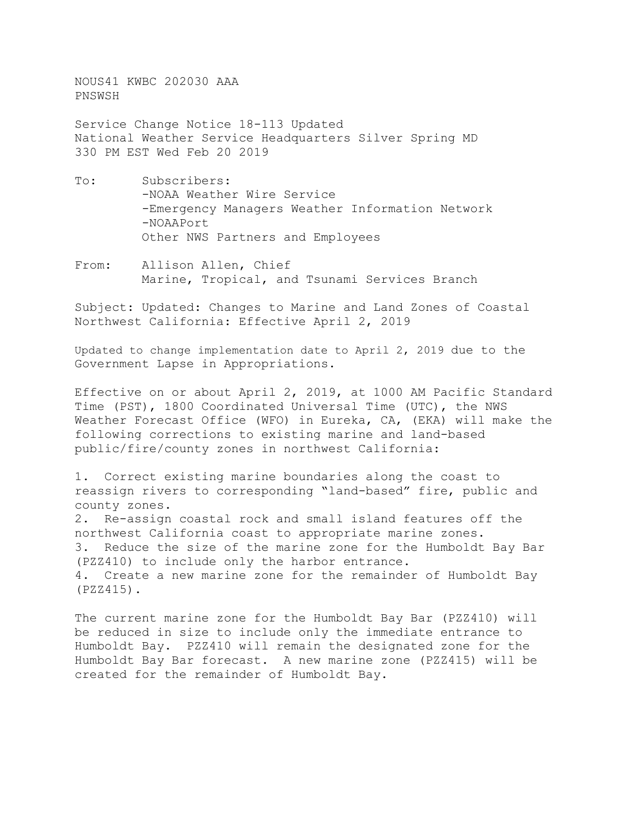NOUS41 KWBC 202030 AAA PNSWSH

Service Change Notice 18-113 Updated National Weather Service Headquarters Silver Spring MD 330 PM EST Wed Feb 20 2019

- To: Subscribers: -NOAA Weather Wire Service -Emergency Managers Weather Information Network -NOAAPort Other NWS Partners and Employees
- From: Allison Allen, Chief Marine, Tropical, and Tsunami Services Branch

Subject: Updated: Changes to Marine and Land Zones of Coastal Northwest California: Effective April 2, 2019

Updated to change implementation date to April 2, 2019 due to the Government Lapse in Appropriations.

Effective on or about April 2, 2019, at 1000 AM Pacific Standard Time (PST), 1800 Coordinated Universal Time (UTC), the NWS Weather Forecast Office (WFO) in Eureka, CA, (EKA) will make the following corrections to existing marine and land-based public/fire/county zones in northwest California:

1. Correct existing marine boundaries along the coast to reassign rivers to corresponding "land-based" fire, public and county zones.

2. Re-assign coastal rock and small island features off the northwest California coast to appropriate marine zones.<br>3. Reduce the size of the marine zone for the Humboldt Reduce the size of the marine zone for the Humboldt Bay Bar (PZZ410) to include only the harbor entrance. 4. Create a new marine zone for the remainder of Humboldt Bay (PZZ415).

The current marine zone for the Humboldt Bay Bar (PZZ410) will be reduced in size to include only the immediate entrance to Humboldt Bay. PZZ410 will remain the designated zone for the Humboldt Bay Bar forecast. A new marine zone (PZZ415) will be created for the remainder of Humboldt Bay.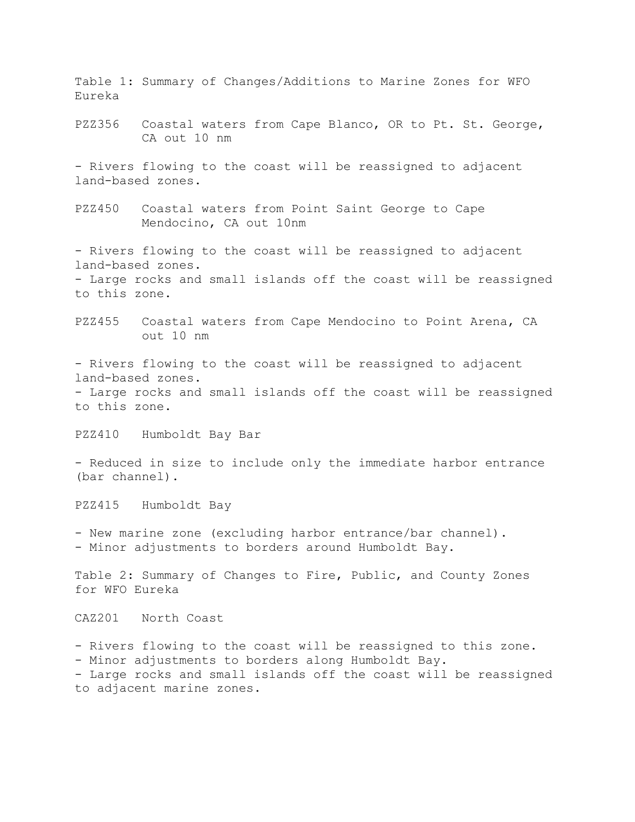Table 1: Summary of Changes/Additions to Marine Zones for WFO Eureka

PZZ356 Coastal waters from Cape Blanco, OR to Pt. St. George, CA out 10 nm

- Rivers flowing to the coast will be reassigned to adjacent land-based zones.

PZZ450 Coastal waters from Point Saint George to Cape Mendocino, CA out 10nm

- Rivers flowing to the coast will be reassigned to adjacent land-based zones. - Large rocks and small islands off the coast will be reassigned to this zone.

PZZ455 Coastal waters from Cape Mendocino to Point Arena, CA out 10 nm

- Rivers flowing to the coast will be reassigned to adjacent land-based zones. - Large rocks and small islands off the coast will be reassigned to this zone.

PZZ410 Humboldt Bay Bar

- Reduced in size to include only the immediate harbor entrance (bar channel).

PZZ415 Humboldt Bay

- New marine zone (excluding harbor entrance/bar channel). - Minor adjustments to borders around Humboldt Bay.

Table 2: Summary of Changes to Fire, Public, and County Zones for WFO Eureka

CAZ201 North Coast

- Rivers flowing to the coast will be reassigned to this zone. - Minor adjustments to borders along Humboldt Bay. - Large rocks and small islands off the coast will be reassigned to adjacent marine zones.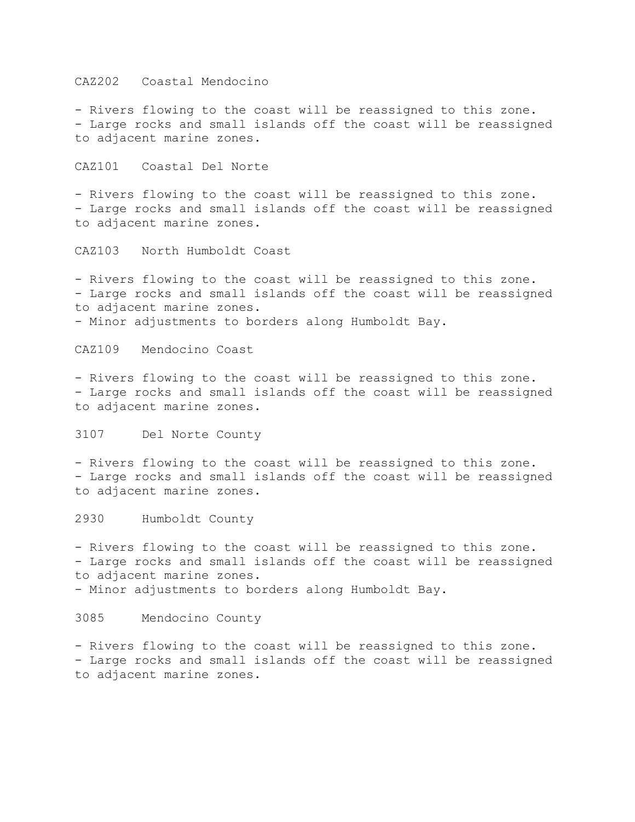CAZ202 Coastal Mendocino

- Rivers flowing to the coast will be reassigned to this zone. - Large rocks and small islands off the coast will be reassigned to adjacent marine zones.

CAZ101 Coastal Del Norte

- Rivers flowing to the coast will be reassigned to this zone. - Large rocks and small islands off the coast will be reassigned to adjacent marine zones.

CAZ103 North Humboldt Coast

- Rivers flowing to the coast will be reassigned to this zone. - Large rocks and small islands off the coast will be reassigned to adjacent marine zones. - Minor adjustments to borders along Humboldt Bay.

CAZ109 Mendocino Coast

- Rivers flowing to the coast will be reassigned to this zone. - Large rocks and small islands off the coast will be reassigned to adjacent marine zones.

3107 Del Norte County

- Rivers flowing to the coast will be reassigned to this zone. - Large rocks and small islands off the coast will be reassigned to adjacent marine zones.

2930 Humboldt County

- Rivers flowing to the coast will be reassigned to this zone. - Large rocks and small islands off the coast will be reassigned to adjacent marine zones.

- Minor adjustments to borders along Humboldt Bay.

3085 Mendocino County

- Rivers flowing to the coast will be reassigned to this zone. - Large rocks and small islands off the coast will be reassigned to adjacent marine zones.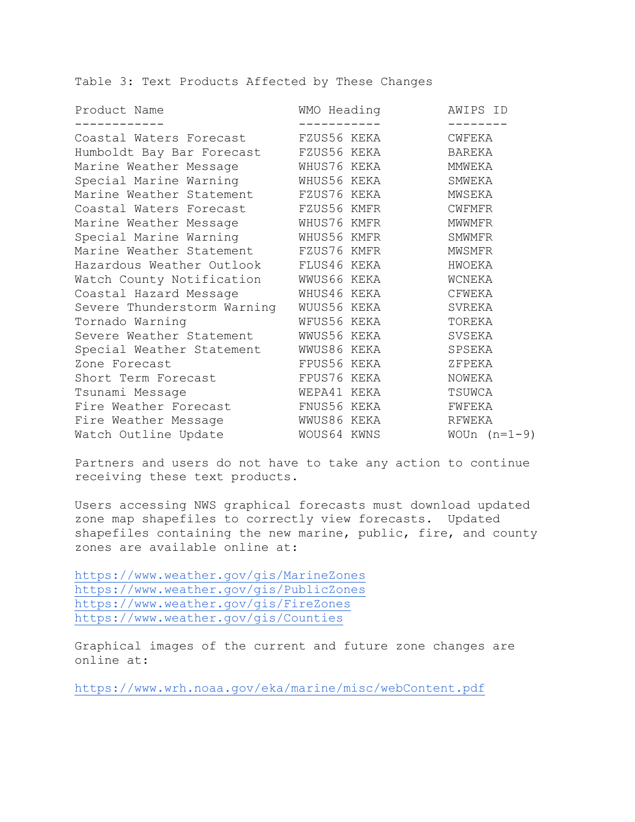Table 3: Text Products Affected by These Changes

| WMO Heading                              | AWIPS ID                                              |
|------------------------------------------|-------------------------------------------------------|
|                                          | CWFEKA                                                |
| FZUS56 KEKA<br>Humboldt Bay Bar Forecast | BAREKA                                                |
| WHUS76 KEKA                              | MMWEKA                                                |
| Special Marine Warning MHUS56 KEKA       | SMWEKA                                                |
| Marine Weather Statement FZUS76 KEKA     | MWSEKA                                                |
| Coastal Waters Forecast FZUS56 KMFR      | <b>CWFMFR</b>                                         |
| WHUS76 KMFR                              | MWWMFR                                                |
| Special Marine Warning MHUS56 KMFR       | SMWMFR                                                |
| Marine Weather Statement FZUS76 KMFR     | MWSMFR                                                |
| Hazardous Weather Outlook FLUS46 KEKA    | HWOEKA                                                |
| Watch County Notification MWUS66 KEKA    | WCNEKA                                                |
| WHUS46 KEKA                              | CFWEKA                                                |
| WUUS56 KEKA                              | SVREKA                                                |
| WFUS56 KEKA                              | TOREKA                                                |
| WWUS56 KEKA<br>Severe Weather Statement  | SVSEKA                                                |
| WWUS86 KEKA<br>Special Weather Statement | SPSEKA                                                |
| FPUS56 KEKA                              | ZFPEKA                                                |
| FPUS76 KEKA                              | NOWEKA                                                |
| WEPA41 KEKA                              | TSUWCA                                                |
| Fire Weather Forecast<br>FNUS56 KEKA     | FWFEKA                                                |
| WWUS86 KEKA                              | RFWEKA                                                |
|                                          | WOUn $(n=1-9)$                                        |
|                                          | Coastal Waters Forecast<br>FZUS56 KEKA<br>WOUS64 KWNS |

Partners and users do not have to take any action to continue receiving these text products.

Users accessing NWS graphical forecasts must download updated zone map shapefiles to correctly view forecasts. Updated shapefiles containing the new marine, public, fire, and county zones are available online at:

<https://www.weather.gov/gis/MarineZones> <https://www.weather.gov/gis/PublicZones> <https://www.weather.gov/gis/FireZones> https://www.weather.gov/gis/Counties

Graphical images of the current and future zone changes are online at:

<https://www.wrh.noaa.gov/eka/marine/misc/webContent.pdf>